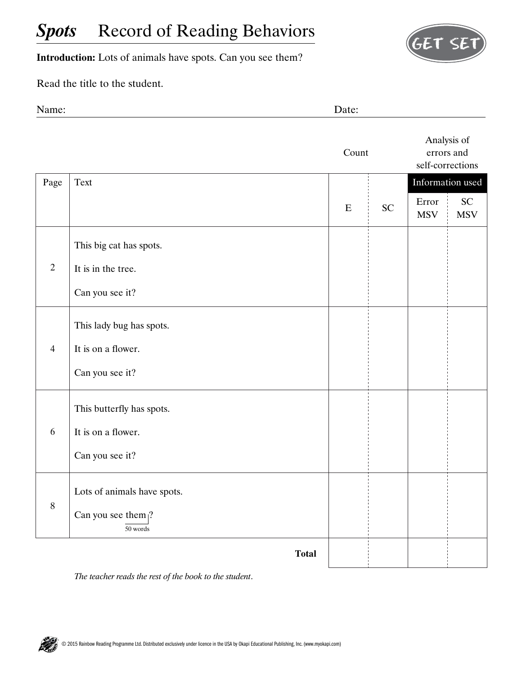## **Spots** Record of Reading Behaviors



**Introduction:** Lots of animals have spots. Can you see them?

Read the title to the student.

Name: Date:

|                |                                                     | Count     |           | Analysis of<br>errors and<br>self-corrections |                         |
|----------------|-----------------------------------------------------|-----------|-----------|-----------------------------------------------|-------------------------|
| Page           | Text                                                |           |           | Information used                              |                         |
|                |                                                     | ${\bf E}$ | <b>SC</b> | Error<br><b>MSV</b>                           | <b>SC</b><br><b>MSV</b> |
| $\overline{2}$ | This big cat has spots.                             |           |           |                                               |                         |
|                | It is in the tree.                                  |           |           |                                               |                         |
|                | Can you see it?                                     |           |           |                                               |                         |
| $\overline{4}$ | This lady bug has spots.                            |           |           |                                               |                         |
|                | It is on a flower.                                  |           |           |                                               |                         |
|                | Can you see it?                                     |           |           |                                               |                         |
| 6              | This butterfly has spots.                           |           |           |                                               |                         |
|                | It is on a flower.                                  |           |           |                                               |                         |
|                | Can you see it?                                     |           |           |                                               |                         |
| 8              | Lots of animals have spots.                         |           |           |                                               |                         |
|                | Can you see them $\left  \right\rangle$<br>50 words |           |           |                                               |                         |
|                | <b>Total</b>                                        |           |           |                                               |                         |

*The teacher reads the rest of the book to the student*.